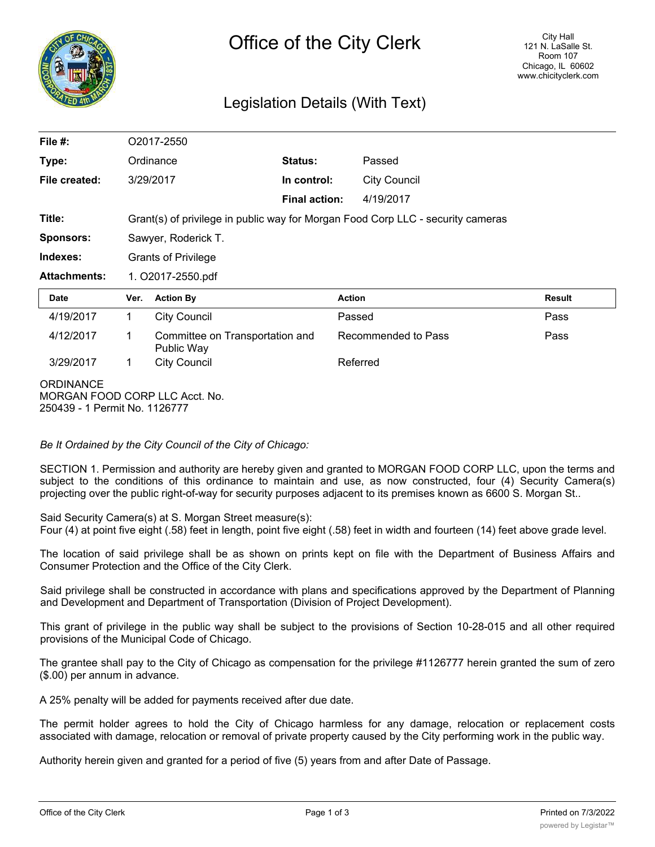

## Legislation Details (With Text)

| File $#$ :          |                                                                                 | O2017-2550                                    |                      |                     |               |
|---------------------|---------------------------------------------------------------------------------|-----------------------------------------------|----------------------|---------------------|---------------|
| Type:               |                                                                                 | Ordinance                                     | <b>Status:</b>       | Passed              |               |
| File created:       |                                                                                 | 3/29/2017                                     | In control:          | <b>City Council</b> |               |
|                     |                                                                                 |                                               | <b>Final action:</b> | 4/19/2017           |               |
| Title:              | Grant(s) of privilege in public way for Morgan Food Corp LLC - security cameras |                                               |                      |                     |               |
| <b>Sponsors:</b>    | Sawyer, Roderick T.                                                             |                                               |                      |                     |               |
| Indexes:            | <b>Grants of Privilege</b>                                                      |                                               |                      |                     |               |
| <b>Attachments:</b> | 1. O2017-2550.pdf                                                               |                                               |                      |                     |               |
|                     |                                                                                 |                                               |                      |                     |               |
| <b>Date</b>         | Ver.                                                                            | <b>Action By</b>                              | <b>Action</b>        |                     | <b>Result</b> |
| 4/19/2017           | 1                                                                               | <b>City Council</b>                           | Passed               |                     | Pass          |
| 4/12/2017           | 1                                                                               | Committee on Transportation and<br>Public Way |                      | Recommended to Pass | Pass          |
| 3/29/2017           | 1                                                                               | <b>City Council</b>                           |                      | Referred            |               |

## *Be It Ordained by the City Council of the City of Chicago:*

SECTION 1. Permission and authority are hereby given and granted to MORGAN FOOD CORP LLC, upon the terms and subject to the conditions of this ordinance to maintain and use, as now constructed, four (4) Security Camera(s) projecting over the public right-of-way for security purposes adjacent to its premises known as 6600 S. Morgan St..

Said Security Camera(s) at S. Morgan Street measure(s):

Four (4) at point five eight (.58) feet in length, point five eight (.58) feet in width and fourteen (14) feet above grade level.

The location of said privilege shall be as shown on prints kept on file with the Department of Business Affairs and Consumer Protection and the Office of the City Clerk.

Said privilege shall be constructed in accordance with plans and specifications approved by the Department of Planning and Development and Department of Transportation (Division of Project Development).

This grant of privilege in the public way shall be subject to the provisions of Section 10-28-015 and all other required provisions of the Municipal Code of Chicago.

The grantee shall pay to the City of Chicago as compensation for the privilege #1126777 herein granted the sum of zero (\$.00) per annum in advance.

A 25% penalty will be added for payments received after due date.

The permit holder agrees to hold the City of Chicago harmless for any damage, relocation or replacement costs associated with damage, relocation or removal of private property caused by the City performing work in the public way.

Authority herein given and granted for a period of five (5) years from and after Date of Passage.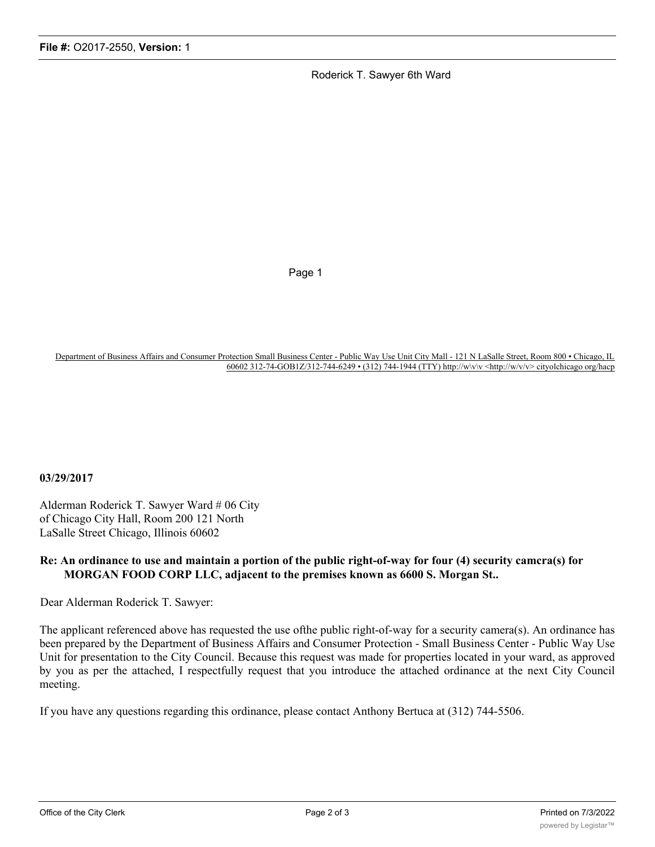Roderick T. Sawyer 6th Ward

Page 1

Department of Business Affairs and Consumer Protection Small Business Center - Public Way Use Unit City Mall - 121 N LaSalle Street, Room 800 • Chicago, IL 60602 312-74-GOB1Z/312-744-6249 • (312) 744-1944 (TTY) http://w\v\v <http://w/v/v> cityolchicago org/hacp

## **03/29/2017**

Alderman Roderick T. Sawyer Ward # 06 City of Chicago City Hall, Room 200 121 North LaSalle Street Chicago, Illinois 60602

## **Re: An ordinance to use and maintain a portion of the public right-of-way for four (4) security camcra(s) for MORGAN FOOD CORP LLC, adjacent to the premises known as 6600 S. Morgan St..**

Dear Alderman Roderick T. Sawyer:

The applicant referenced above has requested the use ofthe public right-of-way for a security camera(s). An ordinance has been prepared by the Department of Business Affairs and Consumer Protection - Small Business Center - Public Way Use Unit for presentation to the City Council. Because this request was made for properties located in your ward, as approved by you as per the attached, I respectfully request that you introduce the attached ordinance at the next City Council meeting.

If you have any questions regarding this ordinance, please contact Anthony Bertuca at (312) 744-5506.